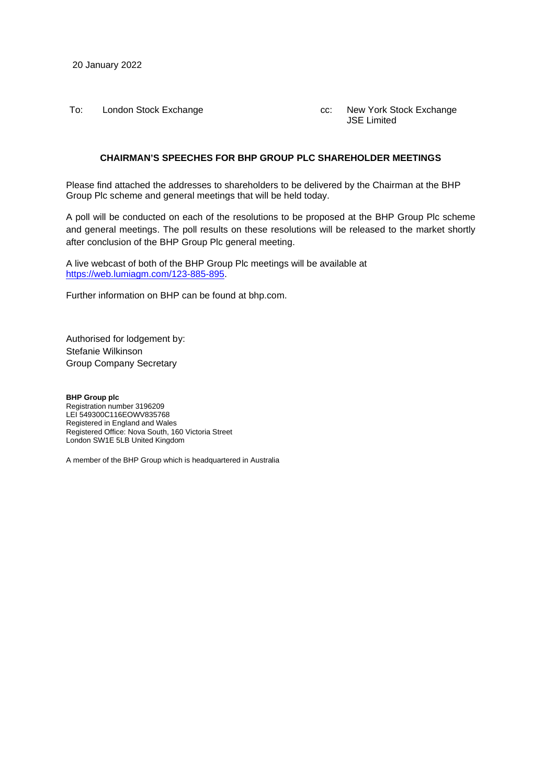20 January 2022

To: London Stock Exchange **come controlled Exchange** cc: New York Stock Exchange

JSE Limited

#### **CHAIRMAN'S SPEECHES FOR BHP GROUP PLC SHAREHOLDER MEETINGS**

Please find attached the addresses to shareholders to be delivered by the Chairman at the BHP Group Plc scheme and general meetings that will be held today.

A poll will be conducted on each of the resolutions to be proposed at the BHP Group Plc scheme and general meetings. The poll results on these resolutions will be released to the market shortly after conclusion of the BHP Group Plc general meeting.

A live webcast of both of the BHP Group Plc meetings will be available at [https://web.lumiagm.com/123-885-895.](https://web.lumiagm.com/123-885-895)

Further information on BHP can be found at bhp.com.

Authorised for lodgement by: Stefanie Wilkinson Group Company Secretary

**BHP Group plc** Registration number 3196209 LEI 549300C116EOWV835768 Registered in England and Wales Registered Office: Nova South, 160 Victoria Street London SW1E 5LB United Kingdom

A member of the BHP Group which is headquartered in Australia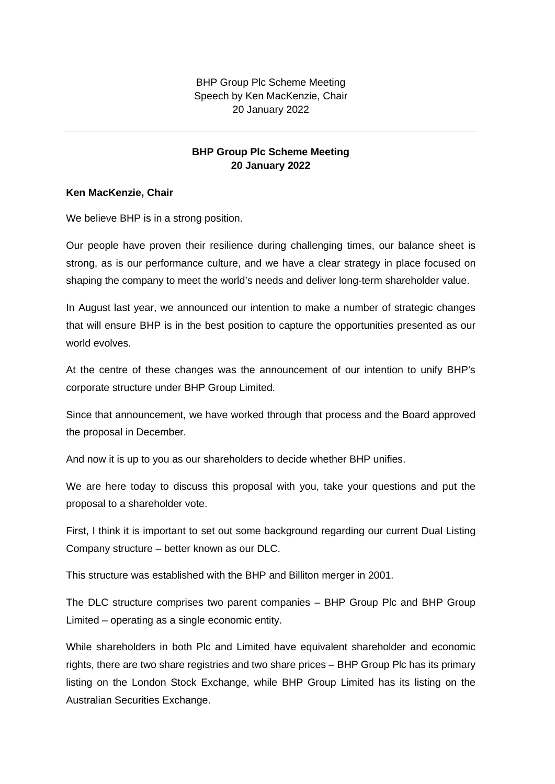BHP Group Plc Scheme Meeting Speech by Ken MacKenzie, Chair 20 January 2022

### **BHP Group Plc Scheme Meeting 20 January 2022**

#### **Ken MacKenzie, Chair**

We believe BHP is in a strong position.

Our people have proven their resilience during challenging times, our balance sheet is strong, as is our performance culture, and we have a clear strategy in place focused on shaping the company to meet the world's needs and deliver long-term shareholder value.

In August last year, we announced our intention to make a number of strategic changes that will ensure BHP is in the best position to capture the opportunities presented as our world evolves.

At the centre of these changes was the announcement of our intention to unify BHP's corporate structure under BHP Group Limited.

Since that announcement, we have worked through that process and the Board approved the proposal in December.

And now it is up to you as our shareholders to decide whether BHP unifies.

We are here today to discuss this proposal with you, take your questions and put the proposal to a shareholder vote.

First, I think it is important to set out some background regarding our current Dual Listing Company structure – better known as our DLC.

This structure was established with the BHP and Billiton merger in 2001.

The DLC structure comprises two parent companies – BHP Group Plc and BHP Group Limited – operating as a single economic entity.

While shareholders in both Plc and Limited have equivalent shareholder and economic rights, there are two share registries and two share prices – BHP Group Plc has its primary listing on the London Stock Exchange, while BHP Group Limited has its listing on the Australian Securities Exchange.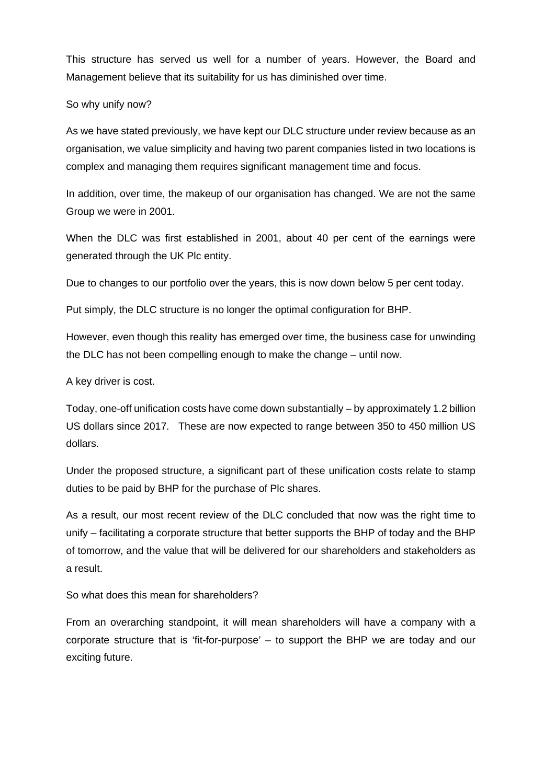This structure has served us well for a number of years. However, the Board and Management believe that its suitability for us has diminished over time.

#### So why unify now?

As we have stated previously, we have kept our DLC structure under review because as an organisation, we value simplicity and having two parent companies listed in two locations is complex and managing them requires significant management time and focus.

In addition, over time, the makeup of our organisation has changed. We are not the same Group we were in 2001.

When the DLC was first established in 2001, about 40 per cent of the earnings were generated through the UK Plc entity.

Due to changes to our portfolio over the years, this is now down below 5 per cent today.

Put simply, the DLC structure is no longer the optimal configuration for BHP.

However, even though this reality has emerged over time, the business case for unwinding the DLC has not been compelling enough to make the change – until now.

A key driver is cost.

Today, one-off unification costs have come down substantially – by approximately 1.2 billion US dollars since 2017. These are now expected to range between 350 to 450 million US dollars.

Under the proposed structure, a significant part of these unification costs relate to stamp duties to be paid by BHP for the purchase of Plc shares.

As a result, our most recent review of the DLC concluded that now was the right time to unify – facilitating a corporate structure that better supports the BHP of today and the BHP of tomorrow, and the value that will be delivered for our shareholders and stakeholders as a result.

So what does this mean for shareholders?

From an overarching standpoint, it will mean shareholders will have a company with a corporate structure that is 'fit-for-purpose' – to support the BHP we are today and our exciting future.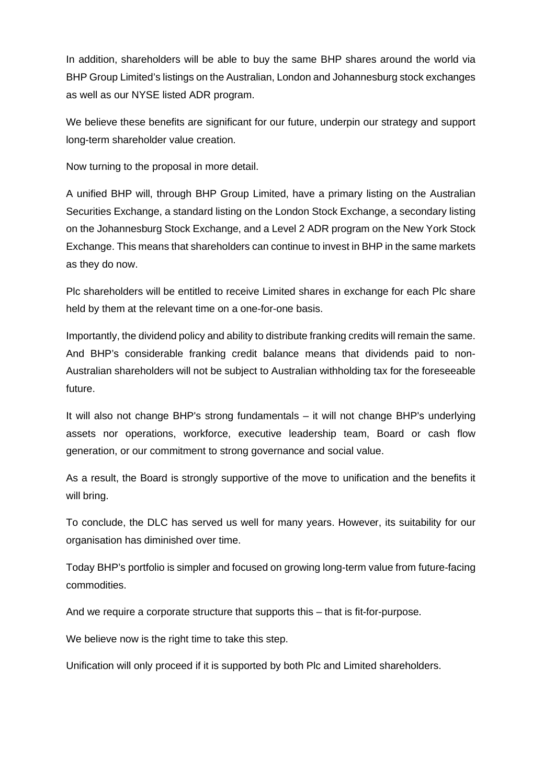In addition, shareholders will be able to buy the same BHP shares around the world via BHP Group Limited's listings on the Australian, London and Johannesburg stock exchanges as well as our NYSE listed ADR program.

We believe these benefits are significant for our future, underpin our strategy and support long-term shareholder value creation.

Now turning to the proposal in more detail.

A unified BHP will, through BHP Group Limited, have a primary listing on the Australian Securities Exchange, a standard listing on the London Stock Exchange, a secondary listing on the Johannesburg Stock Exchange, and a Level 2 ADR program on the New York Stock Exchange. This means that shareholders can continue to invest in BHP in the same markets as they do now.

Plc shareholders will be entitled to receive Limited shares in exchange for each Plc share held by them at the relevant time on a one-for-one basis.

Importantly, the dividend policy and ability to distribute franking credits will remain the same. And BHP's considerable franking credit balance means that dividends paid to non-Australian shareholders will not be subject to Australian withholding tax for the foreseeable future.

It will also not change BHP's strong fundamentals – it will not change BHP's underlying assets nor operations, workforce, executive leadership team, Board or cash flow generation, or our commitment to strong governance and social value.

As a result, the Board is strongly supportive of the move to unification and the benefits it will bring.

To conclude, the DLC has served us well for many years. However, its suitability for our organisation has diminished over time.

Today BHP's portfolio is simpler and focused on growing long-term value from future-facing commodities.

And we require a corporate structure that supports this – that is fit-for-purpose.

We believe now is the right time to take this step.

Unification will only proceed if it is supported by both Plc and Limited shareholders.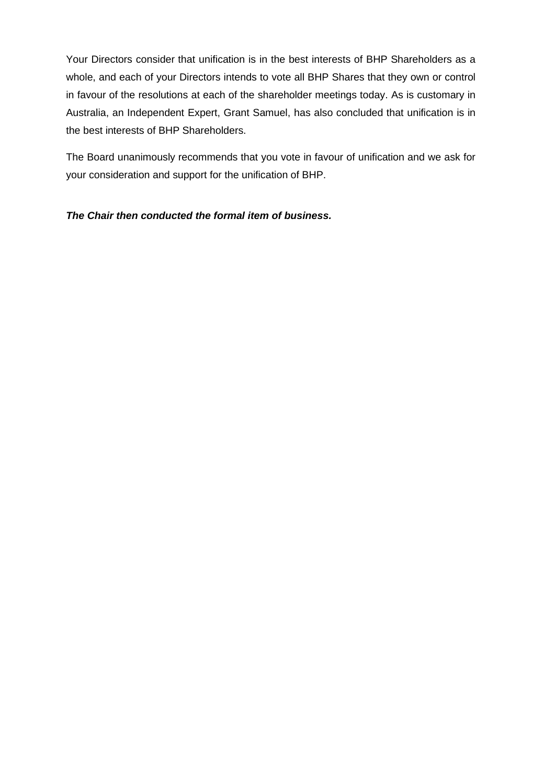Your Directors consider that unification is in the best interests of BHP Shareholders as a whole, and each of your Directors intends to vote all BHP Shares that they own or control in favour of the resolutions at each of the shareholder meetings today. As is customary in Australia, an Independent Expert, Grant Samuel, has also concluded that unification is in the best interests of BHP Shareholders.

The Board unanimously recommends that you vote in favour of unification and we ask for your consideration and support for the unification of BHP.

# *The Chair then conducted the formal item of business.*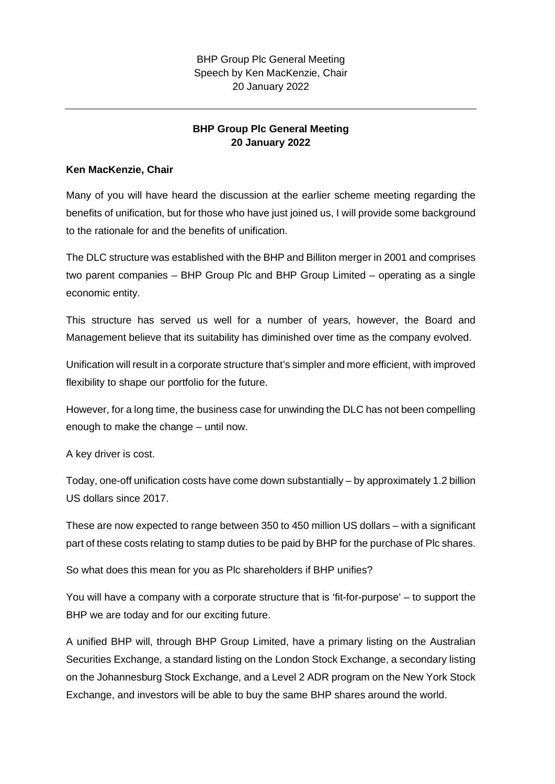# **BHP Group Plc General Meeting 20 January 2022**

## **Ken MacKenzie, Chair**

Many of you will have heard the discussion at the earlier scheme meeting regarding the benefits of unification, but for those who have just joined us, I will provide some background to the rationale for and the benefits of unification.

The DLC structure was established with the BHP and Billiton merger in 2001 and comprises two parent companies – BHP Group Plc and BHP Group Limited – operating as a single economic entity.

This structure has served us well for a number of years, however, the Board and Management believe that its suitability has diminished over time as the company evolved.

Unification will result in a corporate structure that's simpler and more efficient, with improved flexibility to shape our portfolio for the future.

However, for a long time, the business case for unwinding the DLC has not been compelling enough to make the change – until now.

A key driver is cost.

Today, one-off unification costs have come down substantially – by approximately 1.2 billion US dollars since 2017.

These are now expected to range between 350 to 450 million US dollars – with a significant part of these costs relating to stamp duties to be paid by BHP for the purchase of Plc shares.

So what does this mean for you as Plc shareholders if BHP unifies?

You will have a company with a corporate structure that is 'fit-for-purpose' – to support the BHP we are today and for our exciting future.

A unified BHP will, through BHP Group Limited, have a primary listing on the Australian Securities Exchange, a standard listing on the London Stock Exchange, a secondary listing on the Johannesburg Stock Exchange, and a Level 2 ADR program on the New York Stock Exchange, and investors will be able to buy the same BHP shares around the world.